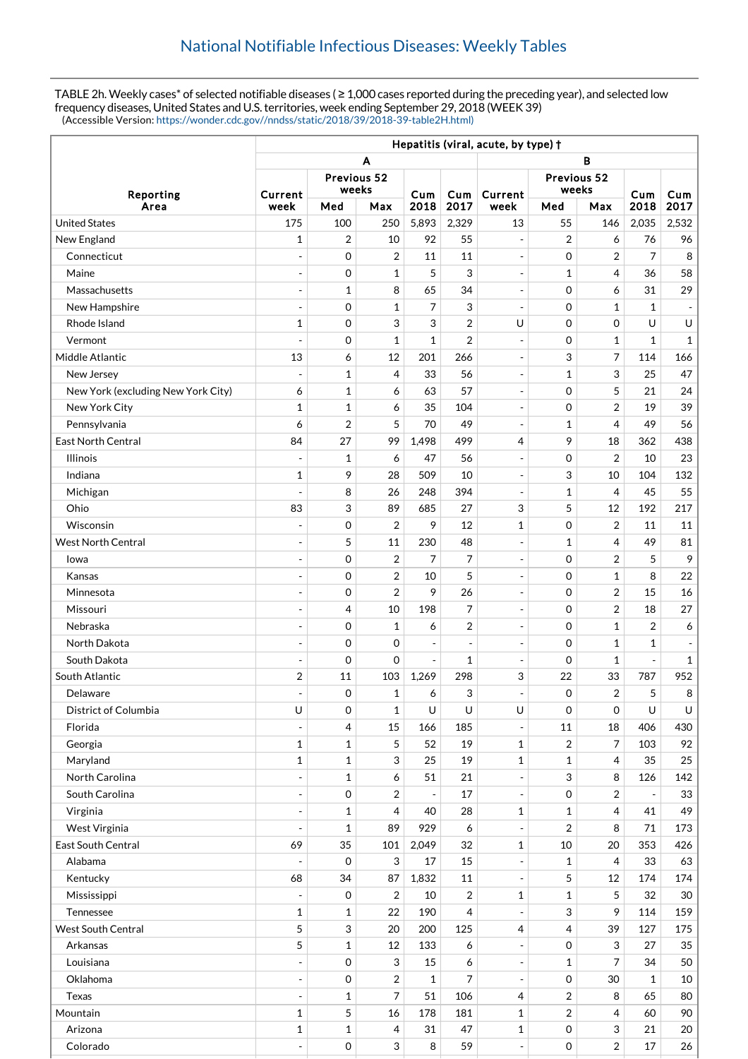TABLE 2h. Weekly cases\* of selected notifiable diseases ( $\geq 1,000$  cases reported during the preceding year), and selected low frequency diseases, United States and U.S. territories, week ending September 29, 2018 (WEEK 39) (Accessible Version: [https://wonder.cdc.gov//nndss/static/2018/39/2018-39-table2H.html\)](https://wonder.cdc.gov//nndss/static/2018/39/2018-39-table2H.html)

|                                    | Hepatitis (viral, acute, by type) + |              |                  |                          |                          |                          |                     |                         |                |                          |
|------------------------------------|-------------------------------------|--------------|------------------|--------------------------|--------------------------|--------------------------|---------------------|-------------------------|----------------|--------------------------|
|                                    | в<br>Α                              |              |                  |                          |                          |                          |                     |                         |                |                          |
| Reporting                          | Previous 52                         |              |                  |                          |                          | Previous 52              |                     |                         |                |                          |
|                                    | Current                             | weeks        |                  | Cum                      | Cum                      | Current                  | weeks               |                         | Cum            | Cum                      |
| Area                               | week                                | Med          | Max              | 2018                     | 2017                     | week                     | Med                 | Max                     | 2018           | 2017                     |
| <b>United States</b>               | 175                                 | 100          | 250              | 5,893                    | 2,329                    | 13                       | 55                  | 146                     | 2,035          | 2,532                    |
| New England                        | 1                                   | 2            | 10               | 92                       | 55                       | $\overline{\phantom{a}}$ | 2                   | 6                       | 76             | 96                       |
| Connecticut                        |                                     | 0            | $\boldsymbol{2}$ | 11                       | 11                       | $\overline{\phantom{a}}$ | 0                   | $\overline{\mathbf{c}}$ | 7              | 8                        |
| Maine                              | $\overline{\phantom{a}}$            | 0            | $\mathbf{1}$     | 5                        | 3                        | $\overline{\phantom{a}}$ | 1                   | 4                       | 36             | 58                       |
| Massachusetts                      | $\overline{\phantom{a}}$            | $\mathbf{1}$ | 8                | 65                       | 34                       | $\overline{\phantom{a}}$ | $\mathbf 0$         | 6                       | 31             | 29                       |
| New Hampshire                      | $\blacksquare$                      | 0            | $\mathbf{1}$     | 7                        | 3                        | $\overline{\phantom{a}}$ | $\mathbf 0$         | 1                       | $\mathbf{1}$   | $\overline{\phantom{a}}$ |
| Rhode Island                       | $\mathbf{1}$                        | 0            | 3                | 3                        | 2                        | U                        | $\mathbf 0$         | 0                       | U              | U                        |
| Vermont                            | $\overline{\phantom{a}}$            | 0            | $\mathbf{1}$     | $\mathbf{1}$             | $\overline{2}$           | $\overline{\phantom{a}}$ | $\mathbf 0$         | $\mathbf{1}$            | $\mathbf{1}$   | $\mathbf{1}$             |
| Middle Atlantic                    | 13                                  | 6            | 12               | 201                      | 266                      | $\sim$                   | 3                   | 7                       | 114            | 166                      |
| New Jersey                         | $\overline{\phantom{m}}$            | 1            | 4                | 33                       | 56                       | $\overline{\phantom{a}}$ | 1                   | 3                       | 25             | 47                       |
| New York (excluding New York City) | 6                                   | 1            | 6                | 63                       | 57                       | $\overline{\phantom{a}}$ | $\mathbf 0$         | 5                       | 21             | 24                       |
| New York City                      | $\mathbf{1}$                        | $\mathbf{1}$ | 6                | 35                       | 104                      | $\overline{\phantom{a}}$ | $\mathbf 0$         | $\overline{2}$          | 19             | 39                       |
| Pennsylvania                       | 6                                   | 2            | 5                | 70                       | 49                       | $\overline{\phantom{a}}$ | 1                   | $\overline{4}$          | 49             | 56                       |
| East North Central                 | 84                                  | 27           | 99               | 1,498                    | 499                      | 4                        | 9                   | 18                      | 362            | 438                      |
| <b>Illinois</b>                    | $\overline{\phantom{m}}$            | 1            | 6                | 47                       | 56                       | $\overline{\phantom{a}}$ | 0                   | $\overline{2}$          | 10             | 23                       |
| Indiana                            | $\mathbf{1}$                        | 9            | 28               | 509                      | 10                       | $\blacksquare$           | 3                   | 10                      | 104            | 132                      |
| Michigan                           |                                     | 8            | 26               | 248                      | 394                      | $\overline{\phantom{a}}$ | 1                   | 4                       | 45             | 55                       |
| Ohio                               | 83                                  | 3            | 89               | 685                      | 27                       | 3                        | 5                   | 12                      | 192            | 217                      |
| Wisconsin                          | $\overline{\phantom{a}}$            | 0            | $\overline{2}$   | 9                        | 12                       | 1                        | 0                   | $\overline{2}$          | 11             | 11                       |
| <b>West North Central</b>          | $\overline{a}$                      | 5            | 11               | 230                      | 48                       | $\overline{\phantom{a}}$ | 1                   | 4                       | 49             | 81                       |
| Iowa                               | ÷,                                  | 0            | $\overline{2}$   | 7                        | 7                        | $\overline{\phantom{a}}$ | $\mathbf 0$         | $\overline{2}$          | 5              | 9                        |
| Kansas                             | $\overline{a}$                      | 0            | 2                | 10                       | 5                        | $\overline{\phantom{a}}$ | $\mathbf 0$         | 1                       | 8              | 22                       |
| Minnesota                          | $\overline{a}$                      | 0            | $\overline{2}$   | 9                        | 26                       | $\overline{\phantom{a}}$ | $\mathbf 0$         | $\overline{2}$          | 15             | 16                       |
| Missouri                           | $\overline{\phantom{a}}$            | 4            | 10               | 198                      | $\overline{7}$           | $\overline{a}$           | 0                   | $\overline{2}$          | 18             | 27                       |
| Nebraska                           |                                     | 0            | $\mathbf{1}$     | 6                        | $\overline{2}$           | $\overline{\phantom{a}}$ | $\mathbf 0$         | $\mathbf{1}$            | 2              | 6                        |
| North Dakota                       | $\overline{\phantom{a}}$            | 0            | 0                | $\overline{\phantom{a}}$ | $\overline{\phantom{a}}$ | $\overline{\phantom{a}}$ | $\mathbf 0$         | 1                       | 1              | $\overline{\phantom{a}}$ |
| South Dakota                       |                                     | 0            | 0                | $\overline{a}$           | 1                        | $\blacksquare$           | 0                   | 1                       | $\blacksquare$ | $\mathbf{1}$             |
| South Atlantic                     | 2                                   | 11           | 103              | 1,269                    | 298                      | 3                        | 22                  | 33                      | 787            | 952                      |
| Delaware                           | $\overline{\phantom{a}}$            | $\mathbf 0$  | $\mathbf{1}$     | 6                        | 3                        | $\overline{a}$           | $\Omega$            | 2                       | 5              | 8                        |
| District of Columbia               | U                                   | 0            | $\mathbf{1}$     | U                        | U                        | U                        | $\mathbf 0$         | 0                       | U              | U                        |
| Florida                            | $\overline{a}$                      | 4            | 15               | 166                      | 185                      | $\equiv$                 | 11                  | 18                      | 406            | 430                      |
| Georgia                            | $\mathbf{1}$                        | 1            | 5                | 52                       | 19                       | 1                        | 2                   | 7                       | 103            | 92                       |
| Maryland                           | $\mathbf 1$                         | $\mathbf 1$  | 3                | 25                       | 19                       | 1                        | 1                   | 4                       | 35             | 25                       |
| North Carolina                     | $\overline{\phantom{a}}$            | $\mathbf 1$  | 6                | 51                       | 21                       | $\overline{\phantom{a}}$ | 3                   | 8                       | 126            | 142                      |
| South Carolina                     | $\frac{1}{2}$                       | 0            | $\overline{2}$   | $\blacksquare$           | 17                       | $\overline{\phantom{a}}$ | 0                   | 2                       |                | 33                       |
| Virginia                           | $\overline{\phantom{a}}$            | $\mathbf 1$  | 4                | 40                       | 28                       | 1                        | 1                   | 4                       | 41             | 49                       |
| West Virginia                      | $\blacksquare$                      | $\mathbf{1}$ | 89               | 929                      | 6                        | $\overline{\phantom{a}}$ | 2                   | 8                       | 71             | 173                      |
| East South Central                 | 69                                  | 35           | 101              | 2,049                    | 32                       | 1                        | $10\,$              | 20                      | 353            | 426                      |
| Alabama                            |                                     | $\mathbf 0$  | 3                | 17                       | 15                       | $\blacksquare$           | 1                   | 4                       | 33             | 63                       |
| Kentucky                           | 68                                  | 34           | 87               | 1,832                    | 11                       | $\overline{\phantom{a}}$ | 5                   | 12                      | 174            | 174                      |
| Mississippi                        |                                     | 0            | $\overline{2}$   | 10                       | $\overline{2}$           | 1                        | 1                   | 5                       | 32             | 30                       |
| Tennessee                          | $\mathbf{1}$                        | 1            | 22               | 190                      | 4                        | $\overline{\phantom{a}}$ | 3                   | 9                       | 114            | 159                      |
| <b>West South Central</b>          | 5                                   | 3            | 20               | 200                      | 125                      | $\overline{4}$           | 4                   | 39                      | 127            | 175                      |
| Arkansas                           | 5                                   | 1            | 12               | 133                      | 6                        | $\overline{\phantom{a}}$ | 0                   | 3                       | 27             | 35                       |
| Louisiana                          | $\overline{\phantom{a}}$            | $\mathbf 0$  | 3                | 15                       | 6                        | $\overline{\phantom{a}}$ | $\mathbf{1}$        | 7                       | 34             | 50                       |
| Oklahoma                           | $\frac{1}{2}$                       | $\mathbf 0$  | $\overline{2}$   | $\mathbf{1}$             | 7                        | $\overline{\phantom{a}}$ | 0                   | 30                      | $\mathbf{1}$   | 10                       |
| Texas                              | $\overline{\phantom{a}}$            | 1            | 7                | 51                       | 106                      | 4                        | 2                   | 8                       | 65             | 80                       |
| Mountain                           | $\mathbf{1}$                        | 5            | 16               | 178                      | 181                      | 1                        | 2                   | 4                       | 60             | 90                       |
| Arizona                            | $\mathbf{1}$                        | 1            | 4                | 31                       | 47                       | 1                        | 0                   | 3                       | 21             | 20                       |
| Colorado                           | $\blacksquare$                      | 0            | $\mathfrak{S}$   | 8                        | 59                       | $\Box$                   | $\mathsf{O}\xspace$ | $\overline{\mathbf{c}}$ | $17\,$         | 26                       |